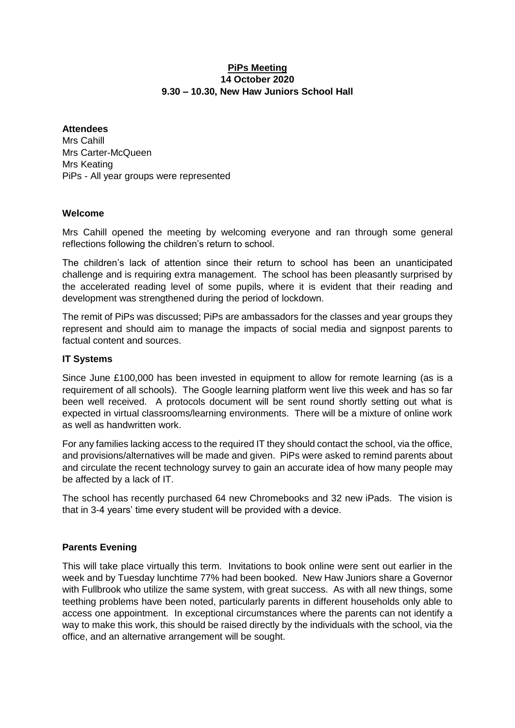#### **PiPs Meeting 14 October 2020 9.30 – 10.30, New Haw Juniors School Hall**

#### **Attendees**

Mrs Cahill Mrs Carter-McQueen Mrs Keating PiPs - All year groups were represented

#### **Welcome**

Mrs Cahill opened the meeting by welcoming everyone and ran through some general reflections following the children's return to school.

The children's lack of attention since their return to school has been an unanticipated challenge and is requiring extra management. The school has been pleasantly surprised by the accelerated reading level of some pupils, where it is evident that their reading and development was strengthened during the period of lockdown.

The remit of PiPs was discussed; PiPs are ambassadors for the classes and year groups they represent and should aim to manage the impacts of social media and signpost parents to factual content and sources.

### **IT Systems**

Since June £100,000 has been invested in equipment to allow for remote learning (as is a requirement of all schools). The Google learning platform went live this week and has so far been well received. A protocols document will be sent round shortly setting out what is expected in virtual classrooms/learning environments. There will be a mixture of online work as well as handwritten work.

For any families lacking access to the required IT they should contact the school, via the office, and provisions/alternatives will be made and given. PiPs were asked to remind parents about and circulate the recent technology survey to gain an accurate idea of how many people may be affected by a lack of IT.

The school has recently purchased 64 new Chromebooks and 32 new iPads. The vision is that in 3-4 years' time every student will be provided with a device.

## **Parents Evening**

This will take place virtually this term. Invitations to book online were sent out earlier in the week and by Tuesday lunchtime 77% had been booked. New Haw Juniors share a Governor with Fullbrook who utilize the same system, with great success. As with all new things, some teething problems have been noted, particularly parents in different households only able to access one appointment. In exceptional circumstances where the parents can not identify a way to make this work, this should be raised directly by the individuals with the school, via the office, and an alternative arrangement will be sought.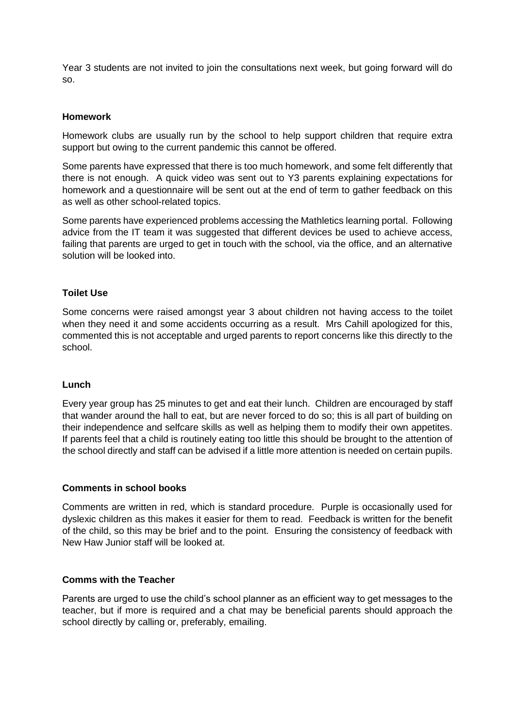Year 3 students are not invited to join the consultations next week, but going forward will do so.

#### **Homework**

Homework clubs are usually run by the school to help support children that require extra support but owing to the current pandemic this cannot be offered.

Some parents have expressed that there is too much homework, and some felt differently that there is not enough. A quick video was sent out to Y3 parents explaining expectations for homework and a questionnaire will be sent out at the end of term to gather feedback on this as well as other school-related topics.

Some parents have experienced problems accessing the Mathletics learning portal. Following advice from the IT team it was suggested that different devices be used to achieve access, failing that parents are urged to get in touch with the school, via the office, and an alternative solution will be looked into.

#### **Toilet Use**

Some concerns were raised amongst year 3 about children not having access to the toilet when they need it and some accidents occurring as a result. Mrs Cahill apologized for this, commented this is not acceptable and urged parents to report concerns like this directly to the school.

#### **Lunch**

Every year group has 25 minutes to get and eat their lunch. Children are encouraged by staff that wander around the hall to eat, but are never forced to do so; this is all part of building on their independence and selfcare skills as well as helping them to modify their own appetites. If parents feel that a child is routinely eating too little this should be brought to the attention of the school directly and staff can be advised if a little more attention is needed on certain pupils.

#### **Comments in school books**

Comments are written in red, which is standard procedure. Purple is occasionally used for dyslexic children as this makes it easier for them to read. Feedback is written for the benefit of the child, so this may be brief and to the point. Ensuring the consistency of feedback with New Haw Junior staff will be looked at.

#### **Comms with the Teacher**

Parents are urged to use the child's school planner as an efficient way to get messages to the teacher, but if more is required and a chat may be beneficial parents should approach the school directly by calling or, preferably, emailing.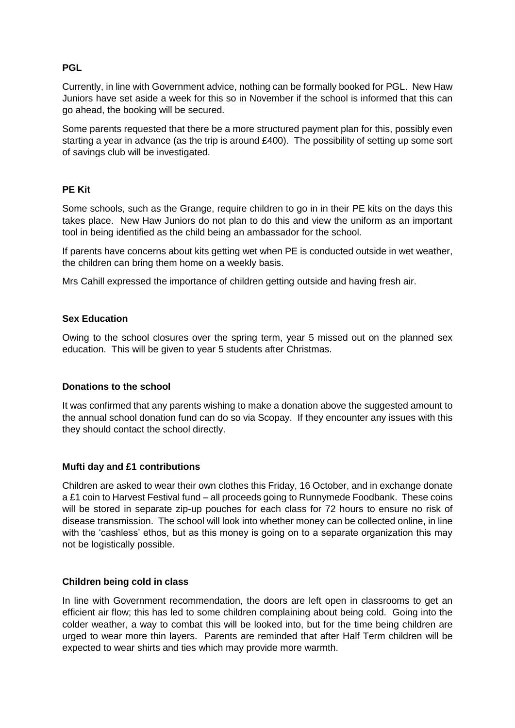### **PGL**

Currently, in line with Government advice, nothing can be formally booked for PGL. New Haw Juniors have set aside a week for this so in November if the school is informed that this can go ahead, the booking will be secured.

Some parents requested that there be a more structured payment plan for this, possibly even starting a year in advance (as the trip is around £400). The possibility of setting up some sort of savings club will be investigated.

#### **PE Kit**

Some schools, such as the Grange, require children to go in in their PE kits on the days this takes place. New Haw Juniors do not plan to do this and view the uniform as an important tool in being identified as the child being an ambassador for the school.

If parents have concerns about kits getting wet when PE is conducted outside in wet weather, the children can bring them home on a weekly basis.

Mrs Cahill expressed the importance of children getting outside and having fresh air.

#### **Sex Education**

Owing to the school closures over the spring term, year 5 missed out on the planned sex education. This will be given to year 5 students after Christmas.

#### **Donations to the school**

It was confirmed that any parents wishing to make a donation above the suggested amount to the annual school donation fund can do so via Scopay. If they encounter any issues with this they should contact the school directly.

#### **Mufti day and £1 contributions**

Children are asked to wear their own clothes this Friday, 16 October, and in exchange donate a £1 coin to Harvest Festival fund – all proceeds going to Runnymede Foodbank. These coins will be stored in separate zip-up pouches for each class for 72 hours to ensure no risk of disease transmission. The school will look into whether money can be collected online, in line with the 'cashless' ethos, but as this money is going on to a separate organization this may not be logistically possible.

#### **Children being cold in class**

In line with Government recommendation, the doors are left open in classrooms to get an efficient air flow; this has led to some children complaining about being cold. Going into the colder weather, a way to combat this will be looked into, but for the time being children are urged to wear more thin layers. Parents are reminded that after Half Term children will be expected to wear shirts and ties which may provide more warmth.